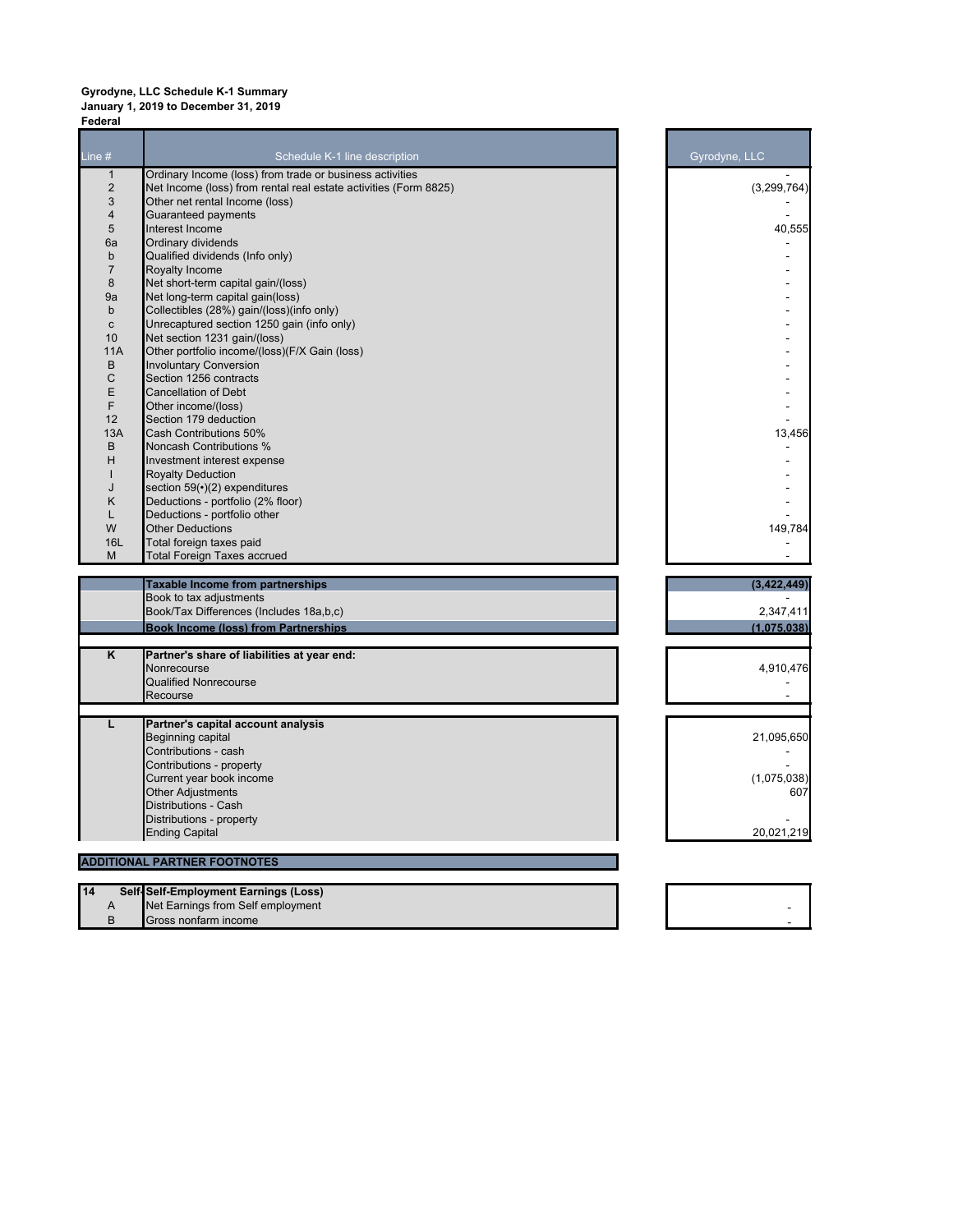## **Gyrodyne, LLC Schedule K-1 Summary January 1, 2019 to December 31, 2019 Federal**

| Line $#$                | Schedule K-1 line description                                    | Gyrodyne, LLC |
|-------------------------|------------------------------------------------------------------|---------------|
| $\mathbf{1}$            | Ordinary Income (loss) from trade or business activities         |               |
| $\overline{2}$          | Net Income (loss) from rental real estate activities (Form 8825) | (3,299,764)   |
| 3                       | Other net rental Income (loss)                                   |               |
| $\overline{4}$          | Guaranteed payments                                              |               |
| 5                       | Interest Income                                                  | 40,555        |
| 6a                      | Ordinary dividends                                               |               |
| b<br>$\overline{7}$     | Qualified dividends (Info only)                                  |               |
| 8                       | Royalty Income<br>Net short-term capital gain/(loss)             |               |
| 9a                      | Net long-term capital gain(loss)                                 |               |
| $\mathsf{b}$            | Collectibles (28%) gain/(loss)(info only)                        |               |
| $\mathbf{C}$            | Unrecaptured section 1250 gain (info only)                       |               |
| 10                      | Net section 1231 gain/(loss)                                     |               |
| <b>11A</b>              | Other portfolio income/(loss)(F/X Gain (loss)                    |               |
| B                       | <b>Involuntary Conversion</b>                                    |               |
| C                       | Section 1256 contracts                                           |               |
| Е                       | <b>Cancellation of Debt</b>                                      |               |
| F                       | Other income/(loss)                                              |               |
| 12                      | Section 179 deduction                                            |               |
| 13A                     | <b>Cash Contributions 50%</b>                                    | 13,456        |
| B                       | <b>Noncash Contributions %</b>                                   |               |
| H                       | Investment interest expense                                      |               |
| ı                       | <b>Royalty Deduction</b>                                         |               |
| J                       | section $59(*)$ (2) expenditures                                 |               |
| Κ                       | Deductions - portfolio (2% floor)                                |               |
| L                       | Deductions - portfolio other                                     |               |
| W                       | <b>Other Deductions</b>                                          | 149,784       |
| 16L                     | Total foreign taxes paid                                         |               |
| M                       | <b>Total Foreign Taxes accrued</b>                               |               |
|                         | <b>Taxable Income from partnerships</b>                          | (3,422,449)   |
|                         | Book to tax adjustments                                          |               |
|                         | Book/Tax Differences (Includes 18a,b,c)                          | 2,347,411     |
|                         |                                                                  |               |
|                         | <b>Book Income (loss) from Partnerships</b>                      | (1,075,038)   |
| $\overline{\mathsf{K}}$ | Partner's share of liabilities at year end:                      |               |
|                         | Nonrecourse                                                      | 4,910,476     |
|                         | <b>Qualified Nonrecourse</b>                                     |               |
|                         | Recourse                                                         |               |
|                         |                                                                  |               |
| L                       | Partner's capital account analysis                               |               |
|                         | Beginning capital                                                | 21,095,650    |
|                         | Contributions - cash                                             |               |
|                         | Contributions - property                                         |               |
|                         | Current year book income                                         | (1,075,038)   |
|                         | <b>Other Adjustments</b>                                         | 607           |
|                         | Distributions - Cash                                             |               |
|                         | Distributions - property                                         |               |
|                         | <b>Ending Capital</b>                                            | 20,021,219    |
|                         | <b>ADDITIONAL PARTNER FOOTNOTES</b>                              |               |
|                         |                                                                  |               |
| 14                      | Self-Self-Employment Earnings (Loss)                             |               |
| A                       | Net Earnings from Self employment                                |               |
| B                       | Gross nonfarm income                                             |               |